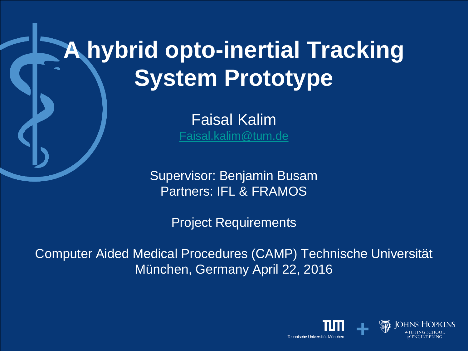# **A hybrid opto-inertial Tracking System Prototype**

Faisal Kalim [Faisal.kalim@tum.de](mailto:Faisal.kalim@tum.de)

Supervisor: Benjamin Busam Partners: IFL & FRAMOS

Project Requirements

Computer Aided Medical Procedures (CAMP) Technische Universität München, Germany April 22, 2016

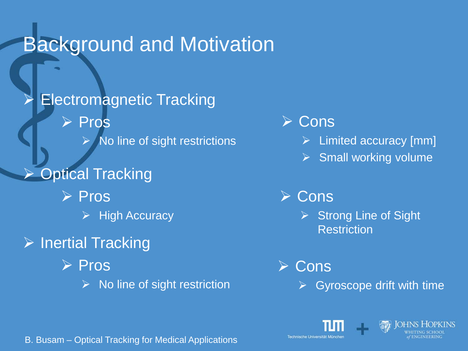### Background and Motivation

 Electromagnetic Tracking **Pros**  $\triangleright$  No line of sight restrictions Optical Tracking  $\triangleright$  Pros  $\triangleright$  High Accuracy  $\triangleright$  Inertial Tracking  $\triangleright$  Pros  $\triangleright$  No line of sight restriction

- **≻ Cons** 
	- Limited accuracy [mm]
	- $\triangleright$  Small working volume

#### **≻ Cons**

 $\triangleright$  Strong Line of Sight **Restriction** 

**≻ Cons** 

Gyroscope drift with time





B. Busam – Optical Tracking for Medical Applications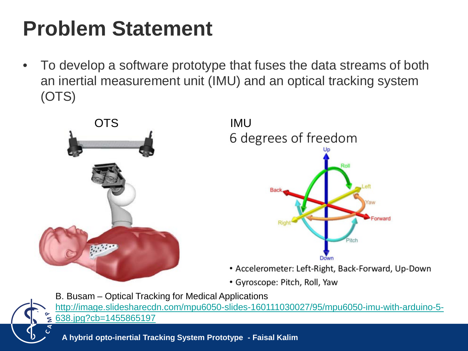### **Problem Statement**

• To develop a software prototype that fuses the data streams of both an inertial measurement unit (IMU) and an optical tracking system (OTS)





- Accelerometer: Left-Right, Back-Forward, Up-Down
- Gyroscope: Pitch, Roll, Yaw

B. Busam – Optical Tracking for Medical Applications [http://image.slidesharecdn.com/mpu6050-slides-160111030027/95/mpu6050-imu-with-arduino-5-](http://image.slidesharecdn.com/mpu6050-slides-160111030027/95/mpu6050-imu-with-arduino-5-638.jpg?cb=1455865197)  $\leq$  638.jpg?cb=1455865197

**A hybrid opto-inertial Tracking System Prototype - Faisal Kalim**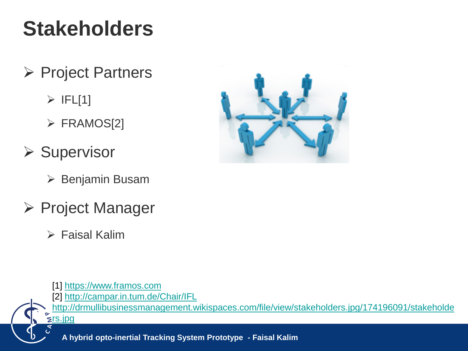## **Stakeholders**

- $\triangleright$  Project Partners
	- $\triangleright$  IFL[1]
	- FRAMOS[2]
- $\triangleright$  Supervisor
	- Benjamin Busam
- **≻ Project Manager** 
	- Faisal Kalim



[1] [https://www.framos.com](https://www.framos.com/) [2] <http://campar.in.tum.de/Chair/IFL> [http://drmullibusinessmanagement.wikispaces.com/file/view/stakeholders.jpg/174196091/stakeholde](http://drmullibusinessmanagement.wikispaces.com/file/view/stakeholders.jpg/174196091/stakeholders.jpg) **zrs.jpg** 

**A hybrid opto-inertial Tracking System Prototype - Faisal Kalim**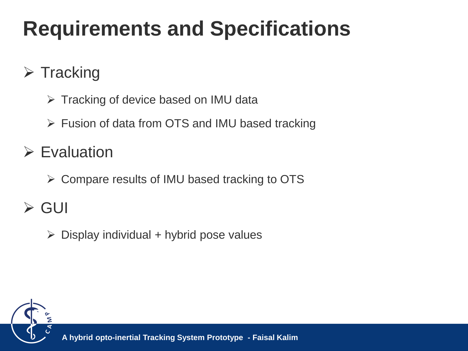## **Requirements and Specifications**

#### $\triangleright$  Tracking

- $\triangleright$  Tracking of device based on IMU data
- Fusion of data from OTS and IMU based tracking

#### $\triangleright$  Evaluation

 $\triangleright$  Compare results of IMU based tracking to OTS

### GUI

 $\triangleright$  Display individual + hybrid pose values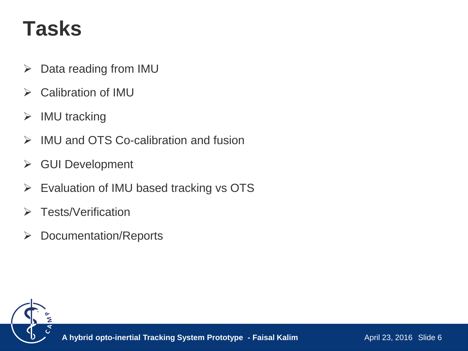### **Tasks**

- $\triangleright$  Data reading from IMU
- $\triangleright$  Calibration of IMU
- $\triangleright$  IMU tracking
- $\triangleright$  IMU and OTS Co-calibration and fusion
- **≻** GUI Development
- $\triangleright$  Evaluation of IMU based tracking vs OTS
- **▶ Tests/Verification**
- **▶ Documentation/Reports**